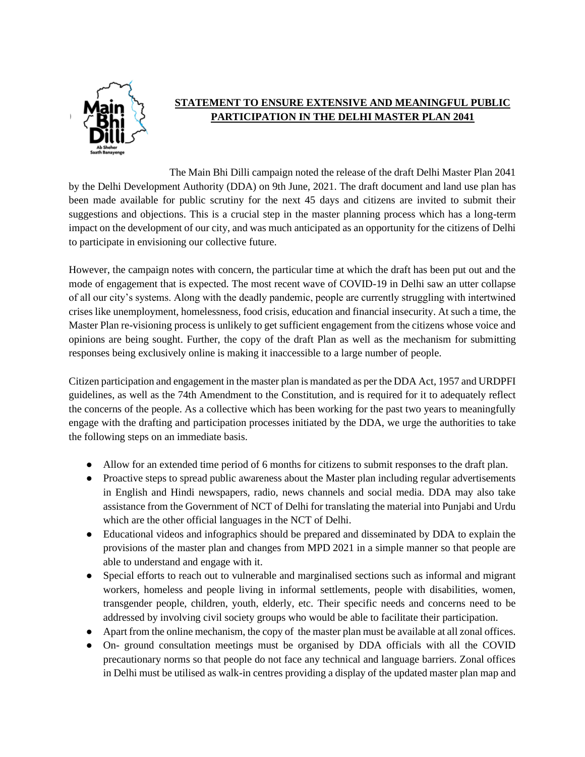

## **STATEMENT TO ENSURE EXTENSIVE AND MEANINGFUL PUBLIC PARTICIPATION IN THE DELHI MASTER PLAN 2041**

The Main Bhi Dilli campaign noted the release of the draft Delhi Master Plan 2041 by the Delhi Development Authority (DDA) on 9th June, 2021. The draft document and land use plan has been made available for public scrutiny for the next 45 days and citizens are invited to submit their suggestions and objections. This is a crucial step in the master planning process which has a long-term impact on the development of our city, and was much anticipated as an opportunity for the citizens of Delhi to participate in envisioning our collective future.

However, the campaign notes with concern, the particular time at which the draft has been put out and the mode of engagement that is expected. The most recent wave of COVID-19 in Delhi saw an utter collapse of all our city's systems. Along with the deadly pandemic, people are currently struggling with intertwined crises like unemployment, homelessness, food crisis, education and financial insecurity. At such a time, the Master Plan re-visioning process is unlikely to get sufficient engagement from the citizens whose voice and opinions are being sought. Further, the copy of the draft Plan as well as the mechanism for submitting responses being exclusively online is making it inaccessible to a large number of people.

Citizen participation and engagement in the master plan is mandated as per the DDA Act, 1957 and URDPFI guidelines, as well as the 74th Amendment to the Constitution, and is required for it to adequately reflect the concerns of the people. As a collective which has been working for the past two years to meaningfully engage with the drafting and participation processes initiated by the DDA, we urge the authorities to take the following steps on an immediate basis.

- Allow for an extended time period of 6 months for citizens to submit responses to the draft plan.
- Proactive steps to spread public awareness about the Master plan including regular advertisements in English and Hindi newspapers, radio, news channels and social media. DDA may also take assistance from the Government of NCT of Delhi for translating the material into Punjabi and Urdu which are the other official languages in the NCT of Delhi.
- Educational videos and infographics should be prepared and disseminated by DDA to explain the provisions of the master plan and changes from MPD 2021 in a simple manner so that people are able to understand and engage with it.
- Special efforts to reach out to vulnerable and marginalised sections such as informal and migrant workers, homeless and people living in informal settlements, people with disabilities, women, transgender people, children, youth, elderly, etc. Their specific needs and concerns need to be addressed by involving civil society groups who would be able to facilitate their participation.
- Apart from the online mechanism, the copy of the master plan must be available at all zonal offices.
- On- ground consultation meetings must be organised by DDA officials with all the COVID precautionary norms so that people do not face any technical and language barriers. Zonal offices in Delhi must be utilised as walk-in centres providing a display of the updated master plan map and